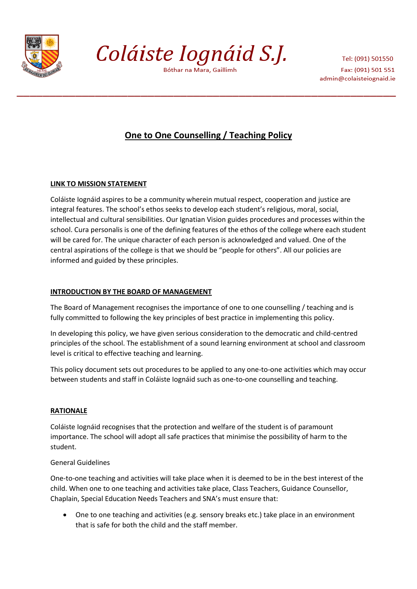

Coláiste Iognáid S.J.

Bóthar na Mara, Gaillimh

Tel: (091) 501550 Fax: (091) 501 551 admin@colaisteiognaid.ie

# **One to One Counselling / Teaching Policy**

# **LINK TO MISSION STATEMENT**

Coláiste Iognáid aspires to be a community wherein mutual respect, cooperation and justice are integral features. The school's ethos seeks to develop each student's religious, moral, social, intellectual and cultural sensibilities. Our Ignatian Vision guides procedures and processes within the school. Cura personalis is one of the defining features of the ethos of the college where each student will be cared for. The unique character of each person is acknowledged and valued. One of the central aspirations of the college is that we should be "people for others". All our policies are informed and guided by these principles.

# **INTRODUCTION BY THE BOARD OF MANAGEMENT**

The Board of Management recognises the importance of one to one counselling / teaching and is fully committed to following the key principles of best practice in implementing this policy.

In developing this policy, we have given serious consideration to the democratic and child-centred principles of the school. The establishment of a sound learning environment at school and classroom level is critical to effective teaching and learning.

This policy document sets out procedures to be applied to any one-to-one activities which may occur between students and staff in Coláiste Iognáid such as one-to-one counselling and teaching.

## **RATIONALE**

Coláiste Iognáid recognises that the protection and welfare of the student is of paramount importance. The school will adopt all safe practices that minimise the possibility of harm to the student.

## General Guidelines

One-to-one teaching and activities will take place when it is deemed to be in the best interest of the child. When one to one teaching and activities take place, Class Teachers, Guidance Counsellor, Chaplain, Special Education Needs Teachers and SNA's must ensure that:

 One to one teaching and activities (e.g. sensory breaks etc.) take place in an environment that is safe for both the child and the staff member.